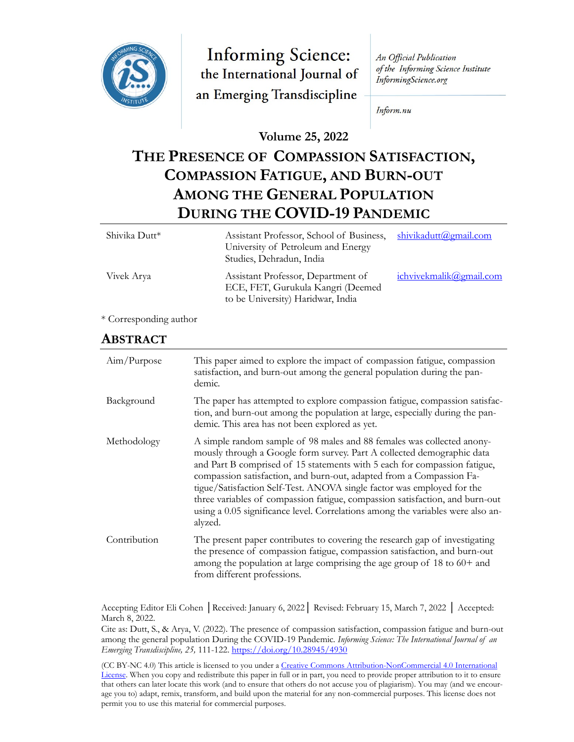

**Informing Science:** the International Journal of an Emerging Transdiscipline

An Official Publication of the Informing Science Institute InformingScience.org

Inform.nu

#### **Volume 25, 2022**

# **THE PRESENCE OF COMPASSION SATISFACTION, COMPASSION FATIGUE, AND BURN-OUT AMONG THE GENERAL POPULATION DURING THE COVID-19 PANDEMIC**

| Shivika Dutt* | Assistant Professor, School of Business,<br>University of Petroleum and Energy<br>Studies, Dehradun, India   | shivikadutt@gmail.com   |
|---------------|--------------------------------------------------------------------------------------------------------------|-------------------------|
| Vivek Arya    | Assistant Professor, Department of<br>ECE, FET, Gurukula Kangri (Deemed<br>to be University) Haridwar, India | ichvivekmalik@gmail.com |
| $\sqrt{a}$    |                                                                                                              |                         |

### \* Corresponding author

#### **ABSTRACT**

| Aim/Purpose  | This paper aimed to explore the impact of compassion fatigue, compassion<br>satisfaction, and burn-out among the general population during the pan-<br>demic.                                                                                                                                                                                                                                                                                                                                                                                                 |
|--------------|---------------------------------------------------------------------------------------------------------------------------------------------------------------------------------------------------------------------------------------------------------------------------------------------------------------------------------------------------------------------------------------------------------------------------------------------------------------------------------------------------------------------------------------------------------------|
| Background   | The paper has attempted to explore compassion fatigue, compassion satisfac-<br>tion, and burn-out among the population at large, especially during the pan-<br>demic. This area has not been explored as yet.                                                                                                                                                                                                                                                                                                                                                 |
| Methodology  | A simple random sample of 98 males and 88 females was collected anony-<br>mously through a Google form survey. Part A collected demographic data<br>and Part B comprised of 15 statements with 5 each for compassion fatigue,<br>compassion satisfaction, and burn-out, adapted from a Compassion Fa-<br>tigue/Satisfaction Self-Test. ANOVA single factor was employed for the<br>three variables of compassion fatigue, compassion satisfaction, and burn-out<br>using a 0.05 significance level. Correlations among the variables were also an-<br>alyzed. |
| Contribution | The present paper contributes to covering the research gap of investigating<br>the presence of compassion fatigue, compassion satisfaction, and burn-out<br>among the population at large comprising the age group of $18$ to $60+$ and<br>from different professions.                                                                                                                                                                                                                                                                                        |

Accepting Editor Eli Cohen │Received: January 6, 2022│ Revised: February 15, March 7, 2022 │ Accepted: March 8, 2022.

Cite as: Dutt, S., & Arya, V. (2022). The presence of compassion satisfaction, compassion fatigue and burn-out among the general population During the COVID-19 Pandemic. *Informing Science: The International Journal of an Emerging Transdiscipline, 25,* 111-122. <https://doi.org/10.28945/4930>

(CC BY-NC 4.0) This article is licensed to you under a Creative Commons Attribution-[NonCommercial 4.0 International](https://creativecommons.org/licenses/by-nc/4.0/)  [License.](https://creativecommons.org/licenses/by-nc/4.0/) When you copy and redistribute this paper in full or in part, you need to provide proper attribution to it to ensure that others can later locate this work (and to ensure that others do not accuse you of plagiarism). You may (and we encourage you to) adapt, remix, transform, and build upon the material for any non-commercial purposes. This license does not permit you to use this material for commercial purposes.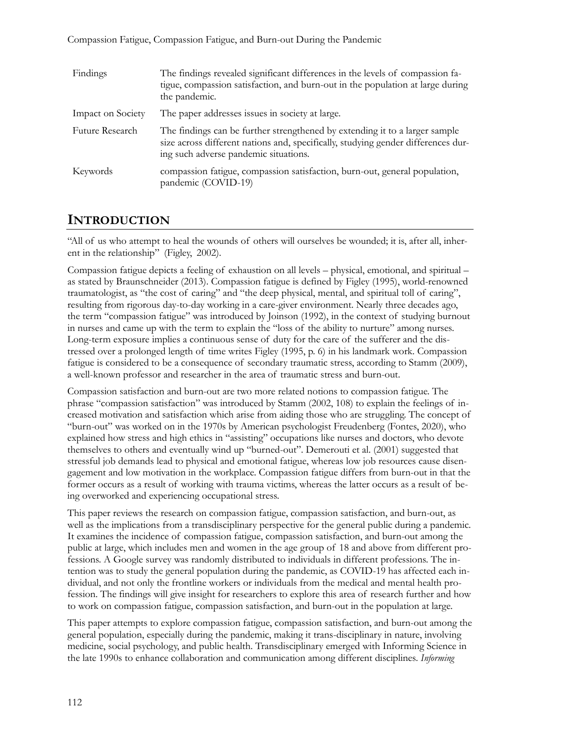Compassion Fatigue, Compassion Fatigue, and Burn-out During the Pandemic

| Findings          | The findings revealed significant differences in the levels of compassion fa-<br>tigue, compassion satisfaction, and burn-out in the population at large during<br>the pandemic.                          |
|-------------------|-----------------------------------------------------------------------------------------------------------------------------------------------------------------------------------------------------------|
| Impact on Society | The paper addresses issues in society at large.                                                                                                                                                           |
| Future Research   | The findings can be further strengthened by extending it to a larger sample<br>size across different nations and, specifically, studying gender differences dur-<br>ing such adverse pandemic situations. |
| Keywords          | compassion fatigue, compassion satisfaction, burn-out, general population,<br>pandemic (COVID-19)                                                                                                         |

### **INTRODUCTION**

"All of us who attempt to heal the wounds of others will ourselves be wounded; it is, after all, inherent in the relationship" (Figley, 2002).

Compassion fatigue depicts a feeling of exhaustion on all levels – physical, emotional, and spiritual – as stated by Braunschneider (2013). Compassion fatigue is defined by Figley (1995), world-renowned traumatologist, as "the cost of caring" and "the deep physical, mental, and spiritual toll of caring", resulting from rigorous day-to-day working in a care-giver environment. Nearly three decades ago, the term "compassion fatigue" was introduced by Joinson (1992), in the context of studying burnout in nurses and came up with the term to explain the "loss of the ability to nurture" among nurses. Long-term exposure implies a continuous sense of duty for the care of the sufferer and the distressed over a prolonged length of time writes Figley (1995, p. 6) in his landmark work. Compassion fatigue is considered to be a consequence of secondary traumatic stress, according to Stamm (2009), a well-known professor and researcher in the area of traumatic stress and burn-out.

Compassion satisfaction and burn-out are two more related notions to compassion fatigue. The phrase "compassion satisfaction" was introduced by Stamm (2002, 108) to explain the feelings of increased motivation and satisfaction which arise from aiding those who are struggling. The concept of "burn-out" was worked on in the 1970s by American psychologist Freudenberg (Fontes, 2020), who explained how stress and high ethics in "assisting" occupations like nurses and doctors, who devote themselves to others and eventually wind up "burned-out". Demerouti et al. (2001) suggested that stressful job demands lead to physical and emotional fatigue, whereas low job resources cause disengagement and low motivation in the workplace. Compassion fatigue differs from burn-out in that the former occurs as a result of working with trauma victims, whereas the latter occurs as a result of being overworked and experiencing occupational stress.

This paper reviews the research on compassion fatigue, compassion satisfaction, and burn-out, as well as the implications from a transdisciplinary perspective for the general public during a pandemic. It examines the incidence of compassion fatigue, compassion satisfaction, and burn-out among the public at large, which includes men and women in the age group of 18 and above from different professions. A Google survey was randomly distributed to individuals in different professions. The intention was to study the general population during the pandemic, as COVID-19 has affected each individual, and not only the frontline workers or individuals from the medical and mental health profession. The findings will give insight for researchers to explore this area of research further and how to work on compassion fatigue, compassion satisfaction, and burn-out in the population at large.

This paper attempts to explore compassion fatigue, compassion satisfaction, and burn-out among the general population, especially during the pandemic, making it trans-disciplinary in nature, involving medicine, social psychology, and public health. Transdisciplinary emerged with Informing Science in the late 1990s to enhance collaboration and communication among different disciplines. *Informing*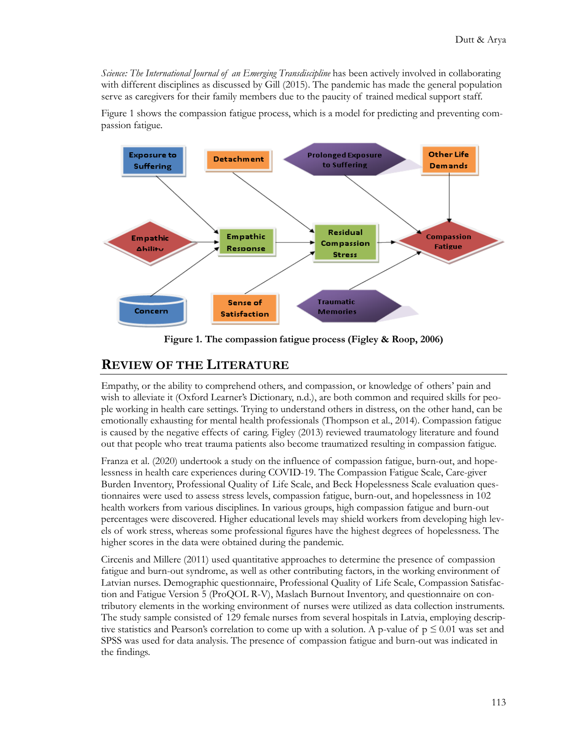*Science: The International Journal of an Emerging Transdiscipline* has been actively involved in collaborating with different disciplines as discussed by Gill (2015). The pandemic has made the general population serve as caregivers for their family members due to the paucity of trained medical support staff.

Figure 1 shows the compassion fatigue process, which is a model for predicting and preventing compassion fatigue.



**Figure 1. The compassion fatigue process (Figley & Roop, 2006)**

#### **REVIEW OF THE LITERATURE**

Empathy, or the ability to comprehend others, and compassion, or knowledge of others' pain and wish to alleviate it (Oxford Learner's Dictionary, n.d.), are both common and required skills for people working in health care settings. Trying to understand others in distress, on the other hand, can be emotionally exhausting for mental health professionals (Thompson et al., 2014). Compassion fatigue is caused by the negative effects of caring. Figley (2013) reviewed traumatology literature and found out that people who treat trauma patients also become traumatized resulting in compassion fatigue.

Franza et al. (2020) undertook a study on the influence of compassion fatigue, burn-out, and hopelessness in health care experiences during COVID-19. The Compassion Fatigue Scale, Care-giver Burden Inventory, Professional Quality of Life Scale, and Beck Hopelessness Scale evaluation questionnaires were used to assess stress levels, compassion fatigue, burn-out, and hopelessness in 102 health workers from various disciplines. In various groups, high compassion fatigue and burn-out percentages were discovered. Higher educational levels may shield workers from developing high levels of work stress, whereas some professional figures have the highest degrees of hopelessness. The higher scores in the data were obtained during the pandemic.

Circenis and Millere (2011) used quantitative approaches to determine the presence of compassion fatigue and burn-out syndrome, as well as other contributing factors, in the working environment of Latvian nurses. Demographic questionnaire, Professional Quality of Life Scale, Compassion Satisfaction and Fatigue Version 5 (ProQOL R-V), Maslach Burnout Inventory, and questionnaire on contributory elements in the working environment of nurses were utilized as data collection instruments. The study sample consisted of 129 female nurses from several hospitals in Latvia, employing descriptive statistics and Pearson's correlation to come up with a solution. A p-value of  $p \le 0.01$  was set and SPSS was used for data analysis. The presence of compassion fatigue and burn-out was indicated in the findings.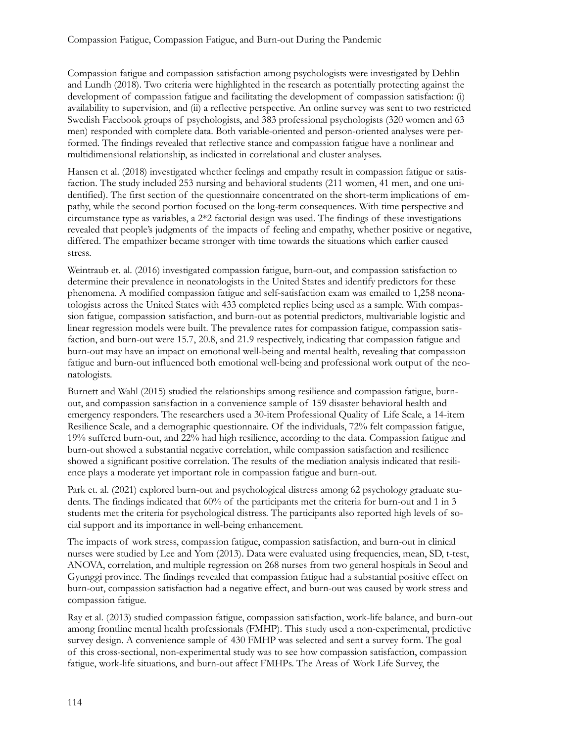Compassion fatigue and compassion satisfaction among psychologists were investigated by Dehlin and Lundh (2018). Two criteria were highlighted in the research as potentially protecting against the development of compassion fatigue and facilitating the development of compassion satisfaction: (i) availability to supervision, and (ii) a reflective perspective. An online survey was sent to two restricted Swedish Facebook groups of psychologists, and 383 professional psychologists (320 women and 63 men) responded with complete data. Both variable-oriented and person-oriented analyses were performed. The findings revealed that reflective stance and compassion fatigue have a nonlinear and multidimensional relationship, as indicated in correlational and cluster analyses.

Hansen et al. (2018) investigated whether feelings and empathy result in compassion fatigue or satisfaction. The study included 253 nursing and behavioral students (211 women, 41 men, and one unidentified). The first section of the questionnaire concentrated on the short-term implications of empathy, while the second portion focused on the long-term consequences. With time perspective and circumstance type as variables, a 2\*2 factorial design was used. The findings of these investigations revealed that people's judgments of the impacts of feeling and empathy, whether positive or negative, differed. The empathizer became stronger with time towards the situations which earlier caused stress.

Weintraub et. al. (2016) investigated compassion fatigue, burn-out, and compassion satisfaction to determine their prevalence in neonatologists in the United States and identify predictors for these phenomena. A modified compassion fatigue and self-satisfaction exam was emailed to 1,258 neonatologists across the United States with 433 completed replies being used as a sample. With compassion fatigue, compassion satisfaction, and burn-out as potential predictors, multivariable logistic and linear regression models were built. The prevalence rates for compassion fatigue, compassion satisfaction, and burn-out were 15.7, 20.8, and 21.9 respectively, indicating that compassion fatigue and burn-out may have an impact on emotional well-being and mental health, revealing that compassion fatigue and burn-out influenced both emotional well-being and professional work output of the neonatologists.

Burnett and Wahl (2015) studied the relationships among resilience and compassion fatigue, burnout, and compassion satisfaction in a convenience sample of 159 disaster behavioral health and emergency responders. The researchers used a 30-item Professional Quality of Life Scale, a 14-item Resilience Scale, and a demographic questionnaire. Of the individuals, 72% felt compassion fatigue, 19% suffered burn-out, and 22% had high resilience, according to the data. Compassion fatigue and burn-out showed a substantial negative correlation, while compassion satisfaction and resilience showed a significant positive correlation. The results of the mediation analysis indicated that resilience plays a moderate yet important role in compassion fatigue and burn-out.

Park et. al. (2021) explored burn-out and psychological distress among 62 psychology graduate students. The findings indicated that 60% of the participants met the criteria for burn-out and 1 in 3 students met the criteria for psychological distress. The participants also reported high levels of social support and its importance in well-being enhancement.

The impacts of work stress, compassion fatigue, compassion satisfaction, and burn-out in clinical nurses were studied by Lee and Yom (2013). Data were evaluated using frequencies, mean, SD, t-test, ANOVA, correlation, and multiple regression on 268 nurses from two general hospitals in Seoul and Gyunggi province. The findings revealed that compassion fatigue had a substantial positive effect on burn-out, compassion satisfaction had a negative effect, and burn-out was caused by work stress and compassion fatigue.

Ray et al. (2013) studied compassion fatigue, compassion satisfaction, work-life balance, and burn-out among frontline mental health professionals (FMHP). This study used a non-experimental, predictive survey design. A convenience sample of 430 FMHP was selected and sent a survey form. The goal of this cross-sectional, non-experimental study was to see how compassion satisfaction, compassion fatigue, work-life situations, and burn-out affect FMHPs. The Areas of Work Life Survey, the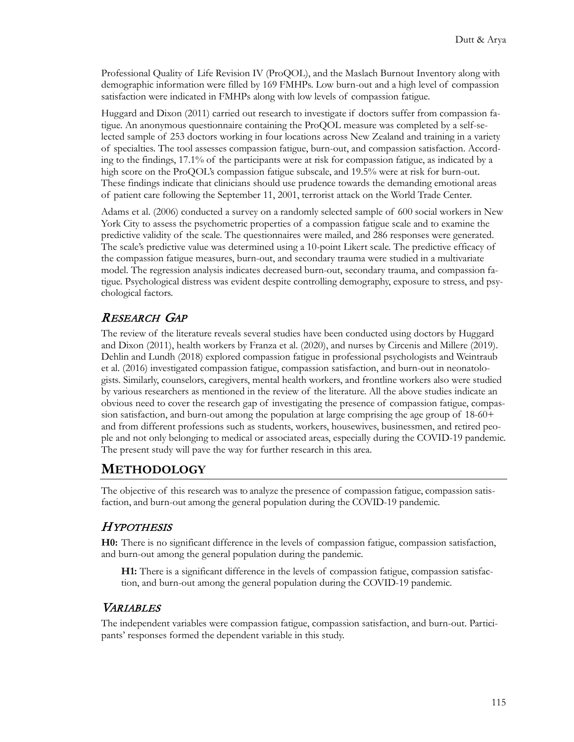Professional Quality of Life Revision IV (ProQOL), and the Maslach Burnout Inventory along with demographic information were filled by 169 FMHPs. Low burn-out and a high level of compassion satisfaction were indicated in FMHPs along with low levels of compassion fatigue.

Huggard and Dixon (2011) carried out research to investigate if doctors suffer from compassion fatigue. An anonymous questionnaire containing the ProQOL measure was completed by a self-selected sample of 253 doctors working in four locations across New Zealand and training in a variety of specialties. The tool assesses compassion fatigue, burn-out, and compassion satisfaction. According to the findings, 17.1% of the participants were at risk for compassion fatigue, as indicated by a high score on the ProQOL's compassion fatigue subscale, and 19.5% were at risk for burn-out. These findings indicate that clinicians should use prudence towards the demanding emotional areas of patient care following the September 11, 2001, terrorist attack on the World Trade Center.

Adams et al. (2006) conducted a survey on a randomly selected sample of 600 social workers in New York City to assess the psychometric properties of a compassion fatigue scale and to examine the predictive validity of the scale. The questionnaires were mailed, and 286 responses were generated. The scale's predictive value was determined using a 10-point Likert scale. The predictive efficacy of the compassion fatigue measures, burn-out, and secondary trauma were studied in a multivariate model. The regression analysis indicates decreased burn-out, secondary trauma, and compassion fatigue. Psychological distress was evident despite controlling demography, exposure to stress, and psychological factors.

#### RESEARCH GAP

The review of the literature reveals several studies have been conducted using doctors by Huggard and Dixon (2011), health workers by Franza et al. (2020), and nurses by Circenis and Millere (2019). Dehlin and Lundh (2018) explored compassion fatigue in professional psychologists and Weintraub et al. (2016) investigated compassion fatigue, compassion satisfaction, and burn-out in neonatologists. Similarly, counselors, caregivers, mental health workers, and frontline workers also were studied by various researchers as mentioned in the review of the literature. All the above studies indicate an obvious need to cover the research gap of investigating the presence of compassion fatigue, compassion satisfaction, and burn-out among the population at large comprising the age group of 18-60+ and from different professions such as students, workers, housewives, businessmen, and retired people and not only belonging to medical or associated areas, especially during the COVID-19 pandemic. The present study will pave the way for further research in this area.

#### **METHODOLOGY**

The objective of this research was to analyze the presence of compassion fatigue, compassion satisfaction, and burn-out among the general population during the COVID-19 pandemic.

#### HYPOTHESIS

**H0:** There is no significant difference in the levels of compassion fatigue, compassion satisfaction, and burn-out among the general population during the pandemic.

**H1:** There is a significant difference in the levels of compassion fatigue, compassion satisfaction, and burn-out among the general population during the COVID-19 pandemic.

#### **VARIABLES**

The independent variables were compassion fatigue, compassion satisfaction, and burn-out. Participants' responses formed the dependent variable in this study.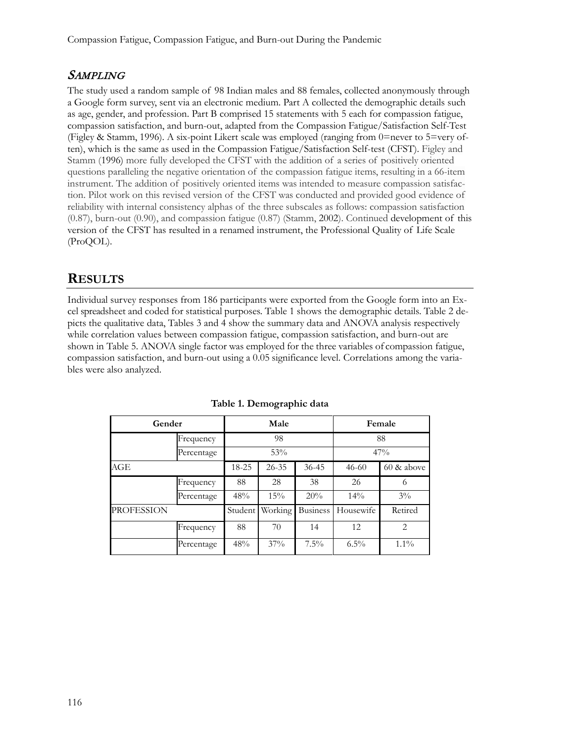#### **SAMPLING**

The study used a random sample of 98 Indian males and 88 females, collected anonymously through a Google form survey, sent via an electronic medium. Part A collected the demographic details such as age, gender, and profession. Part B comprised 15 statements with 5 each for compassion fatigue, compassion satisfaction, and burn-out, adapted from the Compassion Fatigue/Satisfaction Self-Test (Figley & Stamm, 1996). A six-point Likert scale was employed (ranging from 0=never to 5=very often), which is the same as used in the Compassion Fatigue/Satisfaction Self-test (CFST). Figley and Stamm [\(1996\)](https://link.springer.com/article/10.1007/s10615-007-0091-7#ref-CR28) more fully developed the CFST with the addition of a series of positively oriented questions paralleling the negative orientation of the compassion fatigue items, resulting in a 66-item instrument. The addition of positively oriented items was intended to measure compassion satisfaction. Pilot work on this revised version of the CFST was conducted and provided good evidence of reliability with internal consistency alphas of the three subscales as follows: compassion satisfaction (0.87), burn-out (0.90), and compassion fatigue (0.87) (Stamm, 2002). Continued development of this version of the CFST has resulted in a renamed instrument, the Professional Quality of Life Scale (ProQOL).

### **RESULTS**

Individual survey responses from 186 participants were exported from the Google form into an Excel spreadsheet and coded for statistical purposes. Table 1 shows the demographic details. Table 2 depicts the qualitative data, Tables 3 and 4 show the summary data and ANOVA analysis respectively while correlation values between compassion fatigue, compassion satisfaction, and burn-out are shown in Table 5. ANOVA single factor was employed for the three variables of compassion fatigue, compassion satisfaction, and burn-out using a 0.05 significance level. Correlations among the variables were also analyzed.

| Gender            |            |         | Male      |                 | Female    |               |  |
|-------------------|------------|---------|-----------|-----------------|-----------|---------------|--|
|                   | Frequency  |         | 98        |                 | 88        |               |  |
|                   | Percentage |         | 53%       |                 |           | 47%           |  |
| AGE               |            |         | $26 - 35$ | $36 - 45$       | $46 - 60$ | $60 \&$ above |  |
|                   | Frequency  | 88      | 28        | 38              | 26        | 6             |  |
|                   | Percentage | 48%     | 15%       | 20%             | 14%       | $3\%$         |  |
| <b>PROFESSION</b> |            | Student | Working   | <b>Business</b> | Housewife | Retired       |  |
|                   | Frequency  | 88      | 70        | 14              | 12        | 2             |  |
|                   | Percentage | 48%     | 37%       | $7.5\%$         | $6.5\%$   | $1.1\%$       |  |

**Table 1. Demographic data**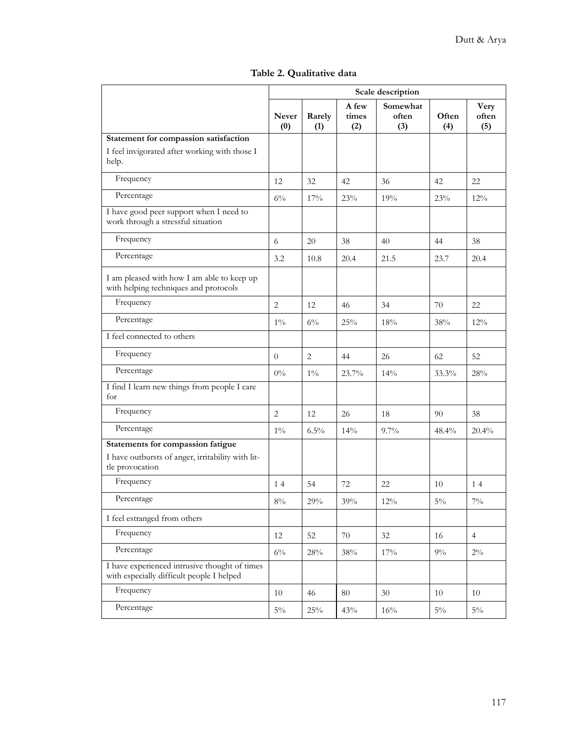|                                                                                                           | Scale description   |               |                       |                          |              |                      |
|-----------------------------------------------------------------------------------------------------------|---------------------|---------------|-----------------------|--------------------------|--------------|----------------------|
|                                                                                                           | <b>Never</b><br>(0) | Rarely<br>(1) | A few<br>times<br>(2) | Somewhat<br>often<br>(3) | Often<br>(4) | Very<br>often<br>(5) |
| Statement for compassion satisfaction                                                                     |                     |               |                       |                          |              |                      |
| I feel invigorated after working with those I<br>help.                                                    |                     |               |                       |                          |              |                      |
| Frequency                                                                                                 | 12                  | 32            | 42                    | 36                       | 42           | 22                   |
| Percentage                                                                                                | $6\%$               | 17%           | 23%                   | 19%                      | 23%          | 12%                  |
| I have good peer support when I need to<br>work through a stressful situation                             |                     |               |                       |                          |              |                      |
| Frequency                                                                                                 | 6                   | 20            | 38                    | 40                       | 44           | 38                   |
| Percentage                                                                                                | 3.2                 | 10.8          | 20.4                  | 21.5                     | 23.7         | 20.4                 |
| I am pleased with how I am able to keep up<br>with helping techniques and protocols                       |                     |               |                       |                          |              |                      |
| Frequency                                                                                                 | $\overline{2}$      | 12            | 46                    | 34                       | 70           | 22                   |
| Percentage                                                                                                | $1\%$               | $6\%$         | 25%                   | 18%                      | 38%          | $12\%$               |
| I feel connected to others                                                                                |                     |               |                       |                          |              |                      |
| Frequency                                                                                                 | $\theta$            | 2             | 44                    | 26                       | 62           | 52                   |
| Percentage                                                                                                | $0\%$               | $1\%$         | 23.7%                 | 14%                      | 33.3%        | 28%                  |
| I find I learn new things from people I care<br>for                                                       |                     |               |                       |                          |              |                      |
| Frequency                                                                                                 | 2                   | 12            | 26                    | 18                       | 90           | 38                   |
| Percentage                                                                                                | $1\%$               | $6.5\%$       | 14%                   | $9.7\%$                  | 48.4%        | $20.4\%$             |
| Statements for compassion fatigue<br>I have outbursts of anger, irritability with lit-<br>tle provocation |                     |               |                       |                          |              |                      |
| Frequency                                                                                                 | 14                  | 54            | 72                    | 22                       | 10           | 14                   |
| Percentage                                                                                                | $8\%$               | $29\%$        | $39\%$                | $12\%$                   | $5\%$        | $7\%$                |
| I feel estranged from others                                                                              |                     |               |                       |                          |              |                      |
| Frequency                                                                                                 | 12                  | 52            | 70                    | $32\,$                   | 16           | $\overline{4}$       |
| Percentage                                                                                                | $6\%$               | 28%           | 38%                   | $17\%$                   | $9\%$        | $2\%$                |
| I have experienced intrusive thought of times<br>with especially difficult people I helped                |                     |               |                       |                          |              |                      |
| Frequency                                                                                                 | 10                  | 46            | 80                    | 30                       | 10           | 10                   |
| Percentage                                                                                                | $5\%$               | $25\%$        | 43%                   | 16%                      | $5\%$        | $5\%$                |

|  |  | Table 2. Qualitative data |  |
|--|--|---------------------------|--|
|--|--|---------------------------|--|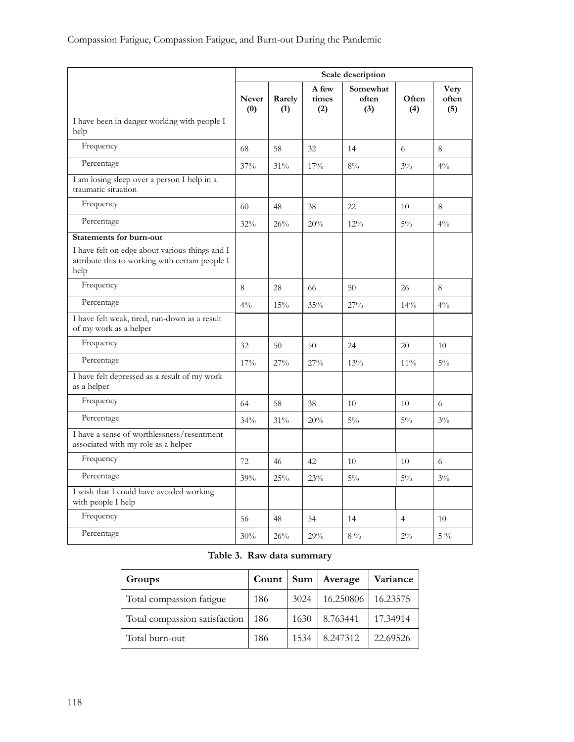|                                                                                                           | Scale description |               |                       |                          |                |                      |
|-----------------------------------------------------------------------------------------------------------|-------------------|---------------|-----------------------|--------------------------|----------------|----------------------|
|                                                                                                           | Never<br>(0)      | Rarely<br>(1) | A few<br>times<br>(2) | Somewhat<br>often<br>(3) | Often<br>(4)   | Very<br>often<br>(5) |
| I have been in danger working with people I<br>help                                                       |                   |               |                       |                          |                |                      |
| Frequency                                                                                                 | 68                | 58            | 32                    | 14                       | 6              | 8                    |
| Percentage                                                                                                | 37%               | 31%           | 17%                   | $8\%$                    | $3\%$          | $4\%$                |
| I am losing sleep over a person I help in a<br>traumatic situation                                        |                   |               |                       |                          |                |                      |
| Frequency                                                                                                 | 60                | 48            | 38                    | 22                       | 10             | 8                    |
| Percentage                                                                                                | 32%               | 26%           | 20%                   | 12%                      | $5\%$          | $4\frac{0}{0}$       |
| <b>Statements for burn-out</b>                                                                            |                   |               |                       |                          |                |                      |
| I have felt on edge about various things and I<br>attribute this to working with certain people I<br>help |                   |               |                       |                          |                |                      |
| Frequency                                                                                                 | 8                 | 28            | 66                    | 50                       | 26             | 8                    |
| Percentage                                                                                                | $4\%$             | 15%           | 35%                   | 27%                      | 14%            | $4\%$                |
| I have felt weak, tired, run-down as a result<br>of my work as a helper                                   |                   |               |                       |                          |                |                      |
| Frequency                                                                                                 | 32                | 50            | 50                    | 24                       | 20             | 10                   |
| Percentage                                                                                                | 17%               | 27%           | 27%                   | 13%                      | $11\%$         | $5\%$                |
| I have felt depressed as a result of my work<br>as a helper                                               |                   |               |                       |                          |                |                      |
| Frequency                                                                                                 | 64                | 58            | 38                    | 10                       | 10             | 6                    |
| Percentage                                                                                                | 34%               | 31%           | 20%                   | $5\%$                    | $5\%$          | $3\%$                |
| I have a sense of worthlessness/resentment<br>associated with my role as a helper                         |                   |               |                       |                          |                |                      |
| Frequency                                                                                                 | 72                | 46            | 42                    | 10                       | 10             | 6                    |
| Percentage                                                                                                | 39%               | 25%           | 23%                   | $5\%$                    | $5\%$          | $3\%$                |
| I wish that I could have avoided working<br>with people I help                                            |                   |               |                       |                          |                |                      |
| Frequency                                                                                                 | 56                | 48            | 54                    | 14                       | $\overline{4}$ | 10                   |
| Percentage                                                                                                | 30%               | 26%           | 29%                   | $8\frac{0}{6}$           | $2\%$          | $5\%$                |

| Table 3. Raw data summary |
|---------------------------|
|                           |

| Groups                        | Count |      | Sum   Average | Variance |
|-------------------------------|-------|------|---------------|----------|
| Total compassion fatigue      | 186   | 3024 | 16.250806     | 16.23575 |
| Total compassion satisfaction | -186  | 1630 | 8.763441      | 17.34914 |
| Total burn-out                | 186   | 1534 | 8.247312      | 22.69526 |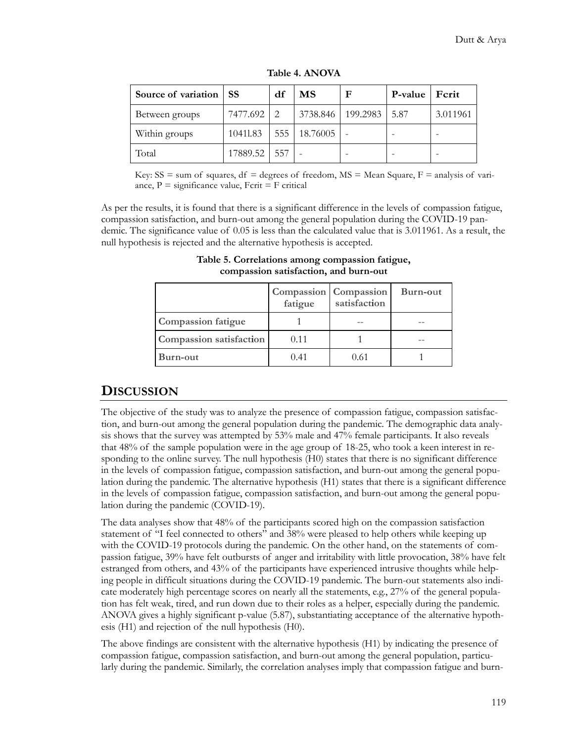| Source of variation SS |          | df            | МS           | F        | <b>P-value</b> | Ferit    |
|------------------------|----------|---------------|--------------|----------|----------------|----------|
| Between groups         | 7477.692 | $\mathcal{L}$ | 3738.846     | 199.2983 | 5.87           | 3.011961 |
| Within groups          | 10411.83 |               | 555 18.76005 |          |                |          |
| Total                  | 17889.52 | 557           |              |          |                |          |

**Table 4. ANOVA**

Key:  $SS = sum$  of squares,  $df = degrees$  of freedom,  $MS = Mean$  Square,  $F =$  analysis of variance,  $P =$  significance value,  $F$ crit =  $F$  critical

As per the results, it is found that there is a significant difference in the levels of compassion fatigue, compassion satisfaction, and burn-out among the general population during the COVID-19 pandemic. The significance value of 0.05 is less than the calculated value that is 3.011961. As a result, the null hypothesis is rejected and the alternative hypothesis is accepted.

|                                | <b>Compassion</b> Compassion<br>fatigue | satisfaction | Burn-out |
|--------------------------------|-----------------------------------------|--------------|----------|
| <b>Compassion fatigue</b>      |                                         |              |          |
| <b>Compassion satisfaction</b> | 0.11                                    |              |          |
| Burn-out                       | 0.41                                    | 0.61         |          |

**Table 5. Correlations among compassion fatigue, compassion satisfaction, and burn-out**

### **DISCUSSION**

The objective of the study was to analyze the presence of compassion fatigue, compassion satisfaction, and burn-out among the general population during the pandemic. The demographic data analysis shows that the survey was attempted by 53% male and 47% female participants. It also reveals that 48% of the sample population were in the age group of 18-25, who took a keen interest in responding to the online survey. The null hypothesis (H0) states that there is no significant difference in the levels of compassion fatigue, compassion satisfaction, and burn-out among the general population during the pandemic. The alternative hypothesis (H1) states that there is a significant difference in the levels of compassion fatigue, compassion satisfaction, and burn-out among the general population during the pandemic (COVID-19).

The data analyses show that 48% of the participants scored high on the compassion satisfaction statement of "I feel connected to others" and 38% were pleased to help others while keeping up with the COVID-19 protocols during the pandemic. On the other hand, on the statements of compassion fatigue, 39% have felt outbursts of anger and irritability with little provocation, 38% have felt estranged from others, and 43% of the participants have experienced intrusive thoughts while helping people in difficult situations during the COVID-19 pandemic. The burn-out statements also indicate moderately high percentage scores on nearly all the statements, e.g., 27% of the general population has felt weak, tired, and run down due to their roles as a helper, especially during the pandemic. ANOVA gives a highly significant p-value (5.87), substantiating acceptance of the alternative hypothesis (H1) and rejection of the null hypothesis (H0).

The above findings are consistent with the alternative hypothesis (H1) by indicating the presence of compassion fatigue, compassion satisfaction, and burn-out among the general population, particularly during the pandemic. Similarly, the correlation analyses imply that compassion fatigue and burn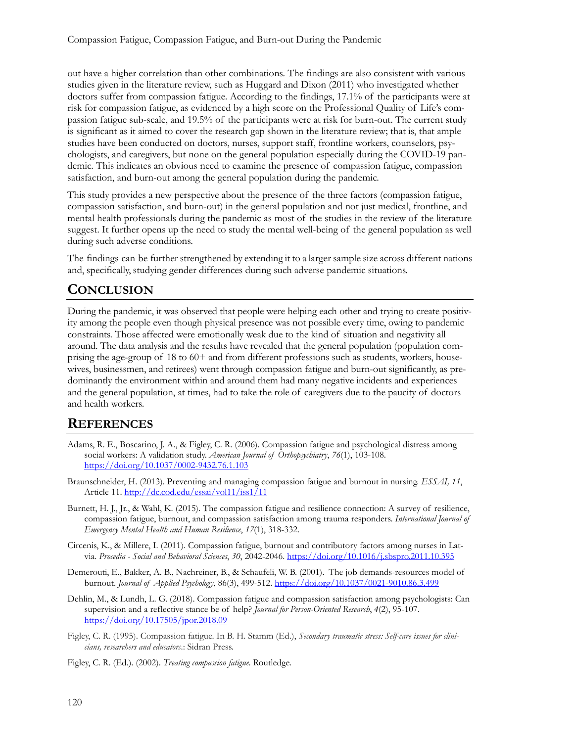out have a higher correlation than other combinations. The findings are also consistent with various studies given in the literature review, such as Huggard and Dixon (2011) who investigated whether doctors suffer from compassion fatigue. According to the findings, 17.1% of the participants were at risk for compassion fatigue, as evidenced by a high score on the Professional Quality of Life's compassion fatigue sub-scale, and 19.5% of the participants were at risk for burn-out. The current study is significant as it aimed to cover the research gap shown in the literature review; that is, that ample studies have been conducted on doctors, nurses, support staff, frontline workers, counselors, psychologists, and caregivers, but none on the general population especially during the COVID-19 pandemic. This indicates an obvious need to examine the presence of compassion fatigue, compassion satisfaction, and burn-out among the general population during the pandemic.

This study provides a new perspective about the presence of the three factors (compassion fatigue, compassion satisfaction, and burn-out) in the general population and not just medical, frontline, and mental health professionals during the pandemic as most of the studies in the review of the literature suggest. It further opens up the need to study the mental well-being of the general population as well during such adverse conditions.

The findings can be further strengthened by extending it to a larger sample size across different nations and, specifically, studying gender differences during such adverse pandemic situations.

### **CONCLUSION**

During the pandemic, it was observed that people were helping each other and trying to create positivity among the people even though physical presence was not possible every time, owing to pandemic constraints. Those affected were emotionally weak due to the kind of situation and negativity all around. The data analysis and the results have revealed that the general population (population comprising the age-group of 18 to 60+ and from different professions such as students, workers, housewives, businessmen, and retirees) went through compassion fatigue and burn-out significantly, as predominantly the environment within and around them had many negative incidents and experiences and the general population, at times, had to take the role of caregivers due to the paucity of doctors and health workers.

### **REFERENCES**

- Adams, R. E., Boscarino, J. A., & Figley, C. R. (2006). Compassion fatigue and psychological distress among social workers: A validation study. *American Journal of Orthopsychiatry*, *76*(1), 103-108. [https://doi.org/10.1037/0002](https://doi.org/10.1037/0002-9432.76.1.103)-9432.76.1.103
- Braunschneider, H. (2013). Preventing and managing compassion fatigue and burnout in nursing. *ESSAI, 11*, Article 11. <http://dc.cod.edu/essai/vol11/iss1/11>
- Burnett, H. J., Jr., & Wahl, K. (2015). The compassion fatigue and resilience connection: A survey of resilience, compassion fatigue, burnout, and compassion satisfaction among trauma responders. *International Journal of Emergency Mental Health and Human Resilience*, *17*(1), 318-332.
- Circenis, K., & Millere, I. (2011). Compassion fatigue, burnout and contributory factors among nurses in Latvia. *Procedia - Social and Behavioral Sciences*, *30*, 2042-2046.<https://doi.org/10.1016/j.sbspro.2011.10.395>
- Demerouti, E., Bakker, A. B., Nachreiner, B., & Schaufeli, W. B. (2001). The job demands-resources model of burnout. *Journal of Applied Psychology*, 86(3), 499-512. [https://doi.org/10.1037/0021](https://doi.org/10.1037/0021-9010.86.3.499)-9010.86.3.499
- Dehlin, M., & Lundh, L. G. (2018). Compassion fatigue and compassion satisfaction among psychologists: Can supervision and a reflective stance be of help? *Journal for Person-Oriented Research*, *4*(2), 95-107. <https://doi.org/10.17505/jpor.2018.09>
- Figley, C. R. (1995). Compassion fatigue. In B. H. Stamm (Ed.), *Secondary traumatic stress: Self-care issues for clinicians, researchers and educators*.: Sidran Press.
- Figley, C. R. (Ed.). (2002). *Treating compassion fatigue*. Routledge.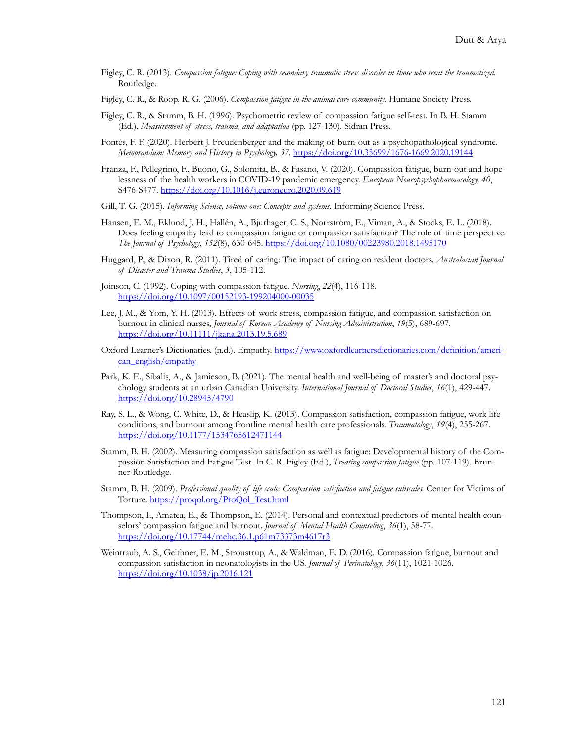- Figley, C. R. (2013). *Compassion fatigue: Coping with secondary traumatic stress disorder in those who treat the traumatized.* Routledge.
- Figley, C. R., & Roop, R. G. (2006). *Compassion fatigue in the animal-care community.* Humane Society Press.
- Figley, C. R., & Stamm, B. H. (1996). Psychometric review of compassion fatigue self-test. In B. H. Stamm (Ed.), *Measurement of stress, trauma, and adaptation* (pp. 127-130). Sidran Press.
- Fontes, F. F. (2020). Herbert J. Freudenberger and the making of burn-out as a psychopathological syndrome. *Memorandum: Memory and History in Psychology, 37*. [https://doi.org/10.35699/1676](https://doi.org/10.35699/1676-1669.2020.19144)-1669.2020.19144
- Franza, F., Pellegrino, F., Buono, G., Solomita, B., & Fasano, V. (2020). Compassion fatigue, burn-out and hopelessness of the health workers in COVID-19 pandemic emergency. *European Neuropsychopharmacology, 40*, S476-S477. <https://doi.org/10.1016/j.euroneuro.2020.09.619>
- Gill, T. G. (2015). *Informing Science, volume one: Concepts and systems.* Informing Science Press.
- Hansen, E. M., Eklund, J. H., Hallén, A., Bjurhager, C. S., Norrström, E., Viman, A., & Stocks, E. L. (2018). Does feeling empathy lead to compassion fatigue or compassion satisfaction? The role of time perspective. *The Journal of Psychology*, *152*(8), 630-645. <https://doi.org/10.1080/00223980.2018.1495170>
- Huggard, P., & Dixon, R. (2011). Tired of caring: The impact of caring on resident doctors. *Australasian Journal of Disaster and Trauma Studies*, *3*, 105-112.
- Joinson, C. (1992). Coping with compassion fatigue. *Nursing*, *22*(4), 116-118. [https://doi.org/10.1097/00152193](https://doi.org/10.1097/00152193-199204000-00035)-199204000-00035
- Lee, J. M., & Yom, Y. H. (2013). Effects of work stress, compassion fatigue, and compassion satisfaction on burnout in clinical nurses, *Journal of Korean Academy of Nursing Administration*, *19*(5), 689-697. <https://doi.org/10.11111/jkana.2013.19.5.689>
- Oxford Learner's Dictionaries. (n.d.). Empathy. h[ttps://www.oxfordlearnersdictionaries.com/definition/ameri](https://www.oxfordlearnersdictionaries.com/definition/american_english/empathy)[can\\_english/empathy](https://www.oxfordlearnersdictionaries.com/definition/american_english/empathy)
- Park, K. E., Sibalis, A., & Jamieson, B. (2021). The mental health and well-being of master's and doctoral psychology students at an urban Canadian University. *International Journal of Doctoral Studies*, *16*(1), 429-447. <https://doi.org/10.28945/4790>
- Ray, S. L., & Wong, C. White, D., & Heaslip, K. (2013). Compassion satisfaction, compassion fatigue, work life conditions, and burnout among frontline mental health care professionals. *Traumatology*, *19*(4), 255-267. <https://doi.org/10.1177/1534765612471144>
- Stamm, B. H. (2002). Measuring compassion satisfaction as well as fatigue: Developmental history of the Compassion Satisfaction and Fatigue Test. In C. R. Figley (Ed.), *Treating compassion fatigue* (pp. 107-119). Brunner-Routledge.
- Stamm, B. H. (2009). *Professional quality of life scale: Compassion satisfaction and fatigue subscales.* Center for Victims of Torture. [https://proqol.org/ProQol\\_Test.html](https://proqol.org/ProQol_Test.html)
- Thompson, I., Amatea, E., & Thompson, E. (2014). Personal and contextual predictors of mental health counselors' compassion fatigue and burnout. *Journal of Mental Health Counseling*, *36*(1), 58-77. <https://doi.org/10.17744/mehc.36.1.p61m73373m4617r3>
- Weintraub, A. S., Geithner, E. M., Stroustrup, A., & Waldman, E. D. (2016). Compassion fatigue, burnout and compassion satisfaction in neonatologists in the US. *Journal of Perinatology*, *36*(11), 1021-1026. <https://doi.org/10.1038/jp.2016.121>